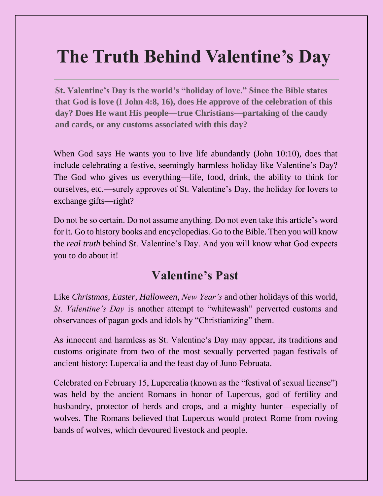# **The Truth Behind Valentine's Day**

**St. Valentine's Day is the world's "holiday of love." Since the Bible states that God is love (I John 4:8, 16), does He approve of the celebration of this day? Does He want His people—true Christians—partaking of the candy and cards, or any customs associated with this day?**

When God says He wants you to live life abundantly (John 10:10), does that include celebrating a festive, seemingly harmless holiday like Valentine's Day? The God who gives us everything—life, food, drink, the ability to think for ourselves, etc.—surely approves of St. Valentine's Day, the holiday for lovers to exchange gifts—right?

Do not be so certain. Do not assume anything. Do not even take this article's word for it. Go to history books and encyclopedias. Go to the Bible. Then you will know the *real truth* behind St. Valentine's Day. And you will know what God expects you to do about it!

### **Valentine's Past**

Like *Christmas*, *Easter*, *Halloween*, *New Year's* and other holidays of this world, *St. Valentine's Day* is another attempt to "whitewash" perverted customs and observances of pagan gods and idols by "Christianizing" them.

As innocent and harmless as St. Valentine's Day may appear, its traditions and customs originate from two of the most sexually perverted pagan festivals of ancient history: Lupercalia and the feast day of Juno Februata.

Celebrated on February 15, Lupercalia (known as the "festival of sexual license") was held by the ancient Romans in honor of Lupercus, god of fertility and husbandry, protector of herds and crops, and a mighty hunter—especially of wolves. The Romans believed that Lupercus would protect Rome from roving bands of wolves, which devoured livestock and people.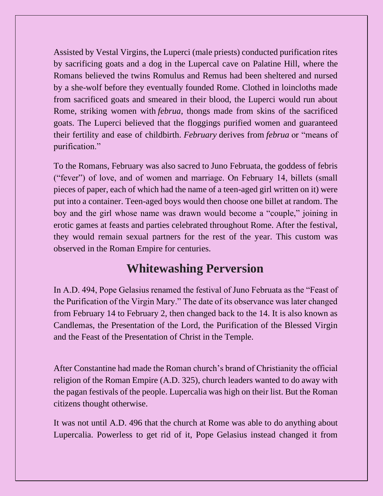Assisted by Vestal Virgins, the Luperci (male priests) conducted purification rites by sacrificing goats and a dog in the Lupercal cave on Palatine Hill, where the Romans believed the twins Romulus and Remus had been sheltered and nursed by a she-wolf before they eventually founded Rome. Clothed in loincloths made from sacrificed goats and smeared in their blood, the Luperci would run about Rome, striking women with *februa*, thongs made from skins of the sacrificed goats. The Luperci believed that the floggings purified women and guaranteed their fertility and ease of childbirth. *February* derives from *februa* or "means of purification."

To the Romans, February was also sacred to Juno Februata, the goddess of febris ("fever") of love, and of women and marriage. On February 14, billets (small pieces of paper, each of which had the name of a teen-aged girl written on it) were put into a container. Teen-aged boys would then choose one billet at random. The boy and the girl whose name was drawn would become a "couple," joining in erotic games at feasts and parties celebrated throughout Rome. After the festival, they would remain sexual partners for the rest of the year. This custom was observed in the Roman Empire for centuries.

## **Whitewashing Perversion**

In A.D. 494, Pope Gelasius renamed the festival of Juno Februata as the "Feast of the Purification of the Virgin Mary." The date of its observance was later changed from February 14 to February 2, then changed back to the 14. It is also known as Candlemas, the Presentation of the Lord, the Purification of the Blessed Virgin and the Feast of the Presentation of Christ in the Temple.

After Constantine had made the Roman church's brand of Christianity the official religion of the Roman Empire (A.D. 325), church leaders wanted to do away with the pagan festivals of the people. Lupercalia was high on their list. But the Roman citizens thought otherwise.

It was not until A.D. 496 that the church at Rome was able to do anything about Lupercalia. Powerless to get rid of it, Pope Gelasius instead changed it from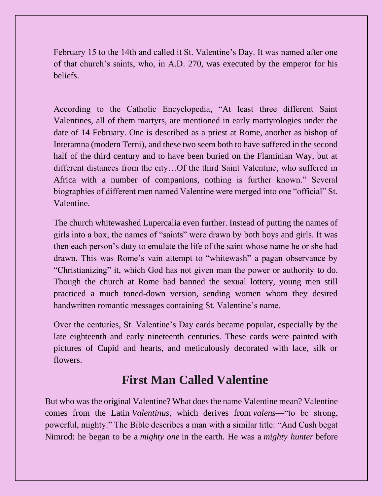February 15 to the 14th and called it St. Valentine's Day. It was named after one of that church's saints, who, in A.D. 270, was executed by the emperor for his beliefs.

According to the Catholic Encyclopedia, "At least three different Saint Valentines, all of them martyrs, are mentioned in early martyrologies under the date of 14 February. One is described as a priest at Rome, another as bishop of Interamna (modern Terni), and these two seem both to have suffered in the second half of the third century and to have been buried on the Flaminian Way, but at different distances from the city…Of the third Saint Valentine, who suffered in Africa with a number of companions, nothing is further known." Several biographies of different men named Valentine were merged into one "official" St. Valentine.

The church whitewashed Lupercalia even further. Instead of putting the names of girls into a box, the names of "saints" were drawn by both boys and girls. It was then each person's duty to emulate the life of the saint whose name he or she had drawn. This was Rome's vain attempt to "whitewash" a pagan observance by "Christianizing" it, which God has not given man the power or authority to do. Though the church at Rome had banned the sexual lottery, young men still practiced a much toned-down version, sending women whom they desired handwritten romantic messages containing St. Valentine's name.

Over the centuries, St. Valentine's Day cards became popular, especially by the late eighteenth and early nineteenth centuries. These cards were painted with pictures of Cupid and hearts, and meticulously decorated with lace, silk or flowers.

## **First Man Called Valentine**

But who was the original Valentine? What does the name Valentine mean? Valentine comes from the Latin *Valentinus*, which derives from *valens*—"to be strong, powerful, mighty." The Bible describes a man with a similar title: "And Cush begat Nimrod: he began to be a *mighty one* in the earth. He was a *mighty hunter* before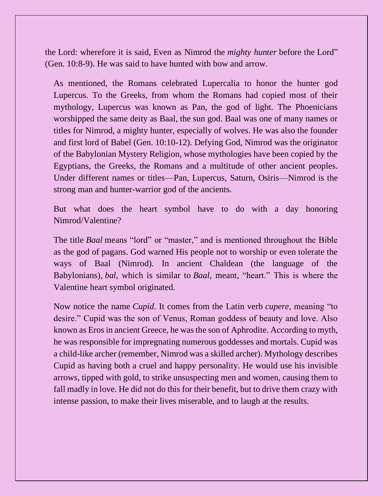the Lord: wherefore it is said, Even as Nimrod the *mighty hunter* before the Lord" (Gen. 10:8-9). He was said to have hunted with bow and arrow.

As mentioned, the Romans celebrated Lupercalia to honor the hunter god Lupercus. To the Greeks, from whom the Romans had copied most of their mythology, Lupercus was known as Pan, the god of light. The Phoenicians worshipped the same deity as Baal, the sun god. Baal was one of many names or titles for Nimrod, a mighty hunter, especially of wolves. He was also the founder and first lord of Babel (Gen. 10:10-12). Defying God, Nimrod was the originator of the Babylonian Mystery Religion, whose mythologies have been copied by the Egyptians, the Greeks, the Romans and a multitude of other ancient peoples. Under different names or titles—Pan, Lupercus, Saturn, Osiris—Nimrod is the strong man and hunter-warrior god of the ancients.

But what does the heart symbol have to do with a day honoring Nimrod/Valentine?

The title *Baal* means "lord" or "master," and is mentioned throughout the Bible as the god of pagans. God warned His people not to worship or even tolerate the ways of Baal (Nimrod). In ancient Chaldean (the language of the Babylonians), *bal*, which is similar to *Baal*, meant, "heart." This is where the Valentine heart symbol originated.

Now notice the name *Cupid*. It comes from the Latin verb *cupere*, meaning "to desire." Cupid was the son of Venus, Roman goddess of beauty and love. Also known as Eros in ancient Greece, he was the son of Aphrodite. According to myth, he was responsible for impregnating numerous goddesses and mortals. Cupid was a child-like archer (remember, Nimrod was a skilled archer). Mythology describes Cupid as having both a cruel and happy personality. He would use his invisible arrows, tipped with gold, to strike unsuspecting men and women, causing them to fall madly in love. He did not do this for their benefit, but to drive them crazy with intense passion, to make their lives miserable, and to laugh at the results.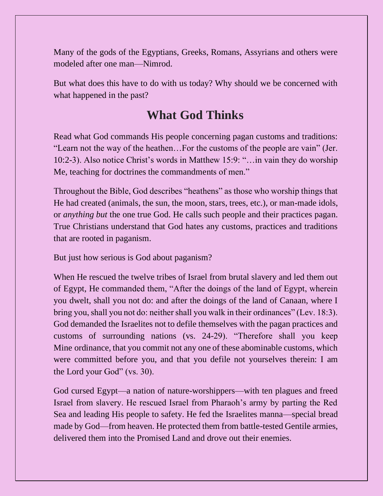Many of the gods of the Egyptians, Greeks, Romans, Assyrians and others were modeled after one man—Nimrod.

But what does this have to do with us today? Why should we be concerned with what happened in the past?

### **What God Thinks**

Read what God commands His people concerning pagan customs and traditions: "Learn not the way of the heathen…For the customs of the people are vain" (Jer. 10:2-3). Also notice Christ's words in Matthew 15:9: "…in vain they do worship Me, teaching for doctrines the commandments of men."

Throughout the Bible, God describes "heathens" as those who worship things that He had created (animals, the sun, the moon, stars, trees, etc.), or man-made idols, or *anything but* the one true God. He calls such people and their practices pagan. True Christians understand that God hates any customs, practices and traditions that are rooted in paganism.

But just how serious is God about paganism?

When He rescued the twelve tribes of Israel from brutal slavery and led them out of Egypt, He commanded them, "After the doings of the land of Egypt, wherein you dwelt, shall you not do: and after the doings of the land of Canaan, where I bring you, shall you not do: neither shall you walk in their ordinances" (Lev. 18:3). God demanded the Israelites not to defile themselves with the pagan practices and customs of surrounding nations (vs. 24-29). "Therefore shall you keep Mine ordinance, that you commit not any one of these abominable customs, which were committed before you, and that you defile not yourselves therein: I am the Lord your God" (vs. 30).

God cursed Egypt—a nation of nature-worshippers—with ten plagues and freed Israel from slavery. He rescued Israel from Pharaoh's army by parting the Red Sea and leading His people to safety. He fed the Israelites manna—special bread made by God—from heaven. He protected them from battle-tested Gentile armies, delivered them into the Promised Land and drove out their enemies.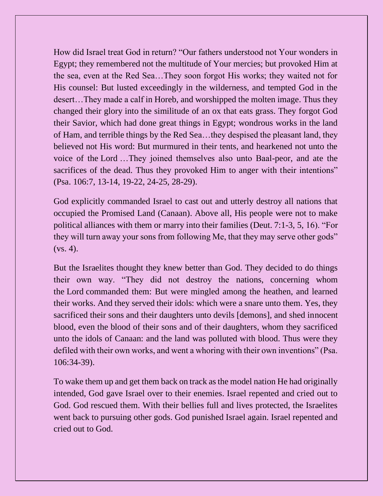How did Israel treat God in return? "Our fathers understood not Your wonders in Egypt; they remembered not the multitude of Your mercies; but provoked Him at the sea, even at the Red Sea…They soon forgot His works; they waited not for His counsel: But lusted exceedingly in the wilderness, and tempted God in the desert…They made a calf in Horeb, and worshipped the molten image. Thus they changed their glory into the similitude of an ox that eats grass. They forgot God their Savior, which had done great things in Egypt; wondrous works in the land of Ham, and terrible things by the Red Sea…they despised the pleasant land, they believed not His word: But murmured in their tents, and hearkened not unto the voice of the Lord …They joined themselves also unto Baal-peor, and ate the sacrifices of the dead. Thus they provoked Him to anger with their intentions" (Psa. 106:7, 13-14, 19-22, 24-25, 28-29).

God explicitly commanded Israel to cast out and utterly destroy all nations that occupied the Promised Land (Canaan). Above all, His people were not to make political alliances with them or marry into their families (Deut. 7:1-3, 5, 16). "For they will turn away your sons from following Me, that they may serve other gods"  $(vs. 4)$ .

But the Israelites thought they knew better than God. They decided to do things their own way. "They did not destroy the nations, concerning whom the Lord commanded them: But were mingled among the heathen, and learned their works. And they served their idols: which were a snare unto them. Yes, they sacrificed their sons and their daughters unto devils [demons], and shed innocent blood, even the blood of their sons and of their daughters, whom they sacrificed unto the idols of Canaan: and the land was polluted with blood. Thus were they defiled with their own works, and went a whoring with their own inventions" (Psa. 106:34-39).

To wake them up and get them back on track as the model nation He had originally intended, God gave Israel over to their enemies. Israel repented and cried out to God. God rescued them. With their bellies full and lives protected, the Israelites went back to pursuing other gods. God punished Israel again. Israel repented and cried out to God.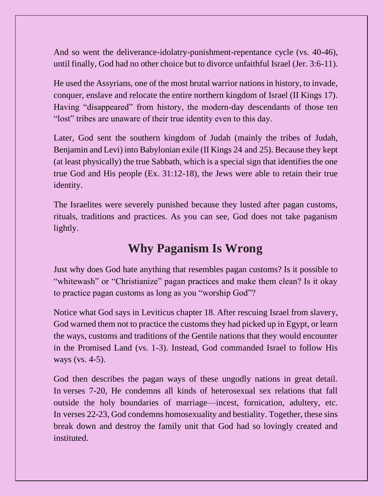And so went the deliverance-idolatry-punishment-repentance cycle (vs. 40-46), until finally, God had no other choice but to divorce unfaithful Israel (Jer. 3:6-11).

He used the Assyrians, one of the most brutal warrior nations in history, to invade, conquer, enslave and relocate the entire northern kingdom of Israel (II Kings 17). Having "disappeared" from history, the modern-day descendants of those ten "lost" tribes are unaware of their true identity even to this day.

Later, God sent the southern kingdom of Judah (mainly the tribes of Judah, Benjamin and Levi) into Babylonian exile (II Kings 24 and 25). Because they kept (at least physically) the true Sabbath, which is a special sign that identifies the one true God and His people (Ex. 31:12-18), the Jews were able to retain their true identity.

The Israelites were severely punished because they lusted after pagan customs, rituals, traditions and practices. As you can see, God does not take paganism lightly.

### **Why Paganism Is Wrong**

Just why does God hate anything that resembles pagan customs? Is it possible to "whitewash" or "Christianize" pagan practices and make them clean? Is it okay to practice pagan customs as long as you "worship God"?

Notice what God says in Leviticus chapter 18. After rescuing Israel from slavery, God warned them not to practice the customs they had picked up in Egypt, or learn the ways, customs and traditions of the Gentile nations that they would encounter in the Promised Land (vs. 1-3). Instead, God commanded Israel to follow His ways (vs. 4-5).

God then describes the pagan ways of these ungodly nations in great detail. In verses 7-20, He condemns all kinds of heterosexual sex relations that fall outside the holy boundaries of marriage—incest, fornication, adultery, etc. In verses 22-23, God condemns homosexuality and bestiality. Together, these sins break down and destroy the family unit that God had so lovingly created and instituted.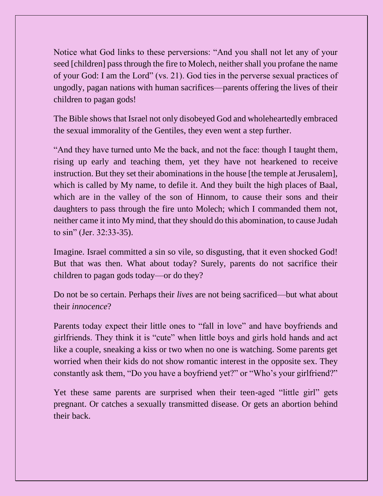Notice what God links to these perversions: "And you shall not let any of your seed [children] pass through the fire to Molech, neither shall you profane the name of your God: I am the Lord" (vs. 21). God ties in the perverse sexual practices of ungodly, pagan nations with human sacrifices—parents offering the lives of their children to pagan gods!

The Bible shows that Israel not only disobeyed God and wholeheartedly embraced the sexual immorality of the Gentiles, they even went a step further.

"And they have turned unto Me the back, and not the face: though I taught them, rising up early and teaching them, yet they have not hearkened to receive instruction. But they set their abominations in the house [the temple at Jerusalem], which is called by My name, to defile it. And they built the high places of Baal, which are in the valley of the son of Hinnom, to cause their sons and their daughters to pass through the fire unto Molech; which I commanded them not, neither came it into My mind, that they should do this abomination, to cause Judah to sin" (Jer. 32:33-35).

Imagine. Israel committed a sin so vile, so disgusting, that it even shocked God! But that was then. What about today? Surely, parents do not sacrifice their children to pagan gods today—or do they?

Do not be so certain. Perhaps their *lives* are not being sacrificed—but what about their *innocence*?

Parents today expect their little ones to "fall in love" and have boyfriends and girlfriends. They think it is "cute" when little boys and girls hold hands and act like a couple, sneaking a kiss or two when no one is watching. Some parents get worried when their kids do not show romantic interest in the opposite sex. They constantly ask them, "Do you have a boyfriend yet?" or "Who's your girlfriend?"

Yet these same parents are surprised when their teen-aged "little girl" gets pregnant. Or catches a sexually transmitted disease. Or gets an abortion behind their back.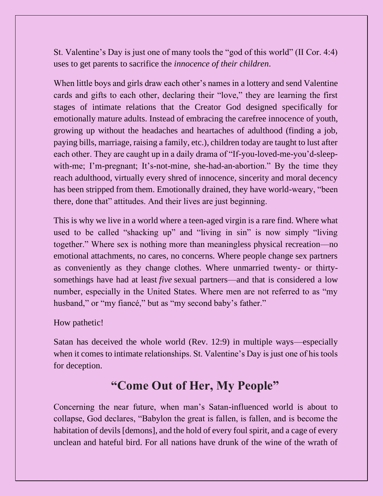St. Valentine's Day is just one of many tools the "god of this world" (II Cor. 4:4) uses to get parents to sacrifice the *innocence of their children*.

When little boys and girls draw each other's names in a lottery and send Valentine cards and gifts to each other, declaring their "love," they are learning the first stages of intimate relations that the Creator God designed specifically for emotionally mature adults. Instead of embracing the carefree innocence of youth, growing up without the headaches and heartaches of adulthood (finding a job, paying bills, marriage, raising a family, etc.), children today are taught to lust after each other. They are caught up in a daily drama of "If-you-loved-me-you'd-sleepwith-me; I'm-pregnant; It's-not-mine, she-had-an-abortion." By the time they reach adulthood, virtually every shred of innocence, sincerity and moral decency has been stripped from them. Emotionally drained, they have world-weary, "been there, done that" attitudes. And their lives are just beginning.

This is why we live in a world where a teen-aged virgin is a rare find. Where what used to be called "shacking up" and "living in sin" is now simply "living together." Where sex is nothing more than meaningless physical recreation—no emotional attachments, no cares, no concerns. Where people change sex partners as conveniently as they change clothes. Where unmarried twenty- or thirtysomethings have had at least *five* sexual partners—and that is considered a low number, especially in the United States. Where men are not referred to as "my husband," or "my fiancé," but as "my second baby's father."

How pathetic!

Satan has deceived the whole world (Rev. 12:9) in multiple ways—especially when it comes to intimate relationships. St. Valentine's Day is just one of his tools for deception.

## **"Come Out of Her, My People"**

Concerning the near future, when man's Satan-influenced world is about to collapse, God declares, "Babylon the great is fallen, is fallen, and is become the habitation of devils [demons], and the hold of every foul spirit, and a cage of every unclean and hateful bird. For all nations have drunk of the wine of the wrath of